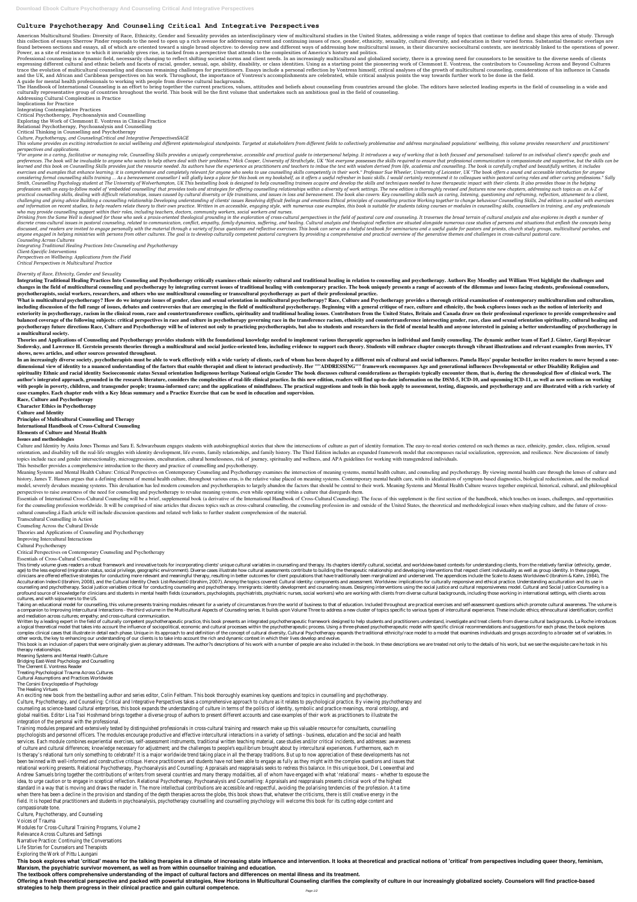# **Culture Psychotherapy And Counseling Critical And Integrative Perspectives**

American Multicultural Studies: Diversity of Race, Ethnicity, Gender and Sexuality provides an interdisciplinary view of multicultural studies in the United States, addressing a wide range of topics that continue to define this collection of essays Sherrow Pinder responds to the need to open up a rich avenue for addressing current and continuing issues of race, gender, ethnicity, sexuality, cultural diversity, and education in their varied f found between sections and essays, all of which are oriented toward a single broad objective: to develop new and different ways of addressing how multicultural issues, in their discursive sociocultural contexts, are inextr Power, as a site of resistance to which it invariably gives rise, is tacked from a perspective that attends to the complexities of America's history and politics.

Professional counseling is a dynamic field, necessarily changing to reflect shifting societal norms and client needs. In an increasingly multicultural and globalized society, there is a growing need for counselors to be se expressing different cultural and ethnic beliefs and facets of racial, gender, sexual, age, ability, disability, or class identities. Using as a starting point the pioneering work of Clemmont E. Vontress, the contributors trace the evolution of multicultural counseling and discuss remaining challenges for practitioners. Essays include a personal reflection by Vontress himself, critical analyses of the growth of multicultural counseling, con and the UK, and African and Caribbean perspectives on his work. Throughout, the importance of Vontress's accomplishments are celebrated, while critical analysis points the way towards further work to be done in the field.

The Handbook of International Counseling is an effort to bring together the current practices, values, attitudes and beliefs about counseling from countries around the globe. The editors have selected leading experts in th culturally representative group of countries hroughout the world. This book will be the first volume that undertakes such an ambitious goal in the field of counseling.

This volume provides an exciting introduction to social wellbeing and different epistemological standpoints. Targeted at stakeholders from different fields to collectively problematise and address marginalised populations' *perspectives and applications.*

A guide for mental health professionals to working with people from diverse cultural backgrounds.

Addressing Cultural Complexities in Practice

Implications for Practice

Integrating Contemplative Practices

Critical Psychotherapy, Psychoanalysis and Counselling

Exploring the Work of Clemmont E. Vontress in Clinical Practice

Relational Psychotherapy, Psychoanalysis and Counselling

Critical Thinking in Counselling and Psychotherapy

*Culture, Psychotherapy, and CounselingCritical and Integrative PerspectivesSAGE*

"For anyone in a caring, facilitative or managing role, Counselling Skills provides a uniquely comprehensive, accessible and practical quide to interpersonal helping. It introduces a way of working that is both focused and preferences. The book will be invaluable to anyone who wants to help others deal with their problems." Mick Cooper, University of Strathclyde, UK "Not everyone possesses the skills required to ensure that professional comm learned and this book on Counselling Skills provides just the resource needed. Its authors have the experience as practitioners and teachers to imbue the text with wisdom derived from life, academia and counselling. The bo exercises and examples that enhance learning; it is comprehensive and completely relevant for anyone who seeks to use counselling skills competently in their work." Professor Sue Wheeler, University of Leicester, UK "The b considering formal counselling skills training ... As a bereavement counsellor I will gladly keep a place for this book on my bookshelf, as it offers a useful refresher in basic skills. I would certainly recommend it to co Smith, Counselling Psychology student at The University of Wolverhampton, UK This bestselling book is designed to help counselling trainees acquire and develop the skills and techniques needed to have therapeutic impact wi professions with an easy-to-follow model of 'embedded counselling' that provides tools and strategies for offering counselling relationships within a diversity of work settings. The new edition is thoroughly revised and fe practical counselling skills, dealing with difficult relationships, issues caused by cultural diversity or life transitions, and issues in loss and bereavement. The book also covers: Key counselling skills such as caring, challenging and giving advice Building a counselling relationship Developing understanding of clients' issues Resolving difficult feelings and emotions Ethical principles of counselling practice Working together to change and information on recent studies, to help readers relate theory to their own practice. Written in an accessible, engaging style, with numerous case examples, this book is suitable for students taking courses or modules in *who may provide counselling support within their roles, including teachers, doctors, community workers, social workers and nurses.*

Drinking from the Same Well is designed for those who seek a praxis-oriented theological grounding in the exploration of cross-cultural perspectives in the field of pastoral care and counseling. It traverses the broad terr discrete cross-cultural issues in pastoral counseling, related to communication, conflict, empathy, family dynamics, suffering, and healing. Cultural analysis and theological reflection are situated alongside numerous case discussed, and readers are invited to engage personally with the material through a variety of focus questions and reflective exercises. This book can serve as a helpful textbook for seminarians and a useful quide for past anyone engaged in helping ministries with persons from other cultures. The goal is to develop culturally competent pastoral caregivers by providing a comprehensive and practical overview of the generative themes and challe *Counseling Across Cultures*

Integrating Traditional Healing Practices Into Counseling and Psychotherapy critically examines ethnic minority cultural and traditional healing in relation to counseling and psychotherapy. Authors Roy Moodley and William changes in the field of multicultural counseling and psychotherapy by integrating current issues of traditional healing with contemporary practice. The book uniquely presents a range of accounts of the dilemmas and issues **psychotherapists, social workers, researchers, and others who use multicultural counseling or transcultural psychotherapy as part of their professional practice.**

What is multicultural psychotherapy? How do we integrate issues of gender, class and sexual orientation in multicultural psychotherapy? Race, Culture and Psychotherapy provides a thorough critical examination of contempora including discussion of the full range of issues, debates and controversies that are emerging in the field of multicultural psychotherapy. Beginning with a general critique of race, culture and ethnicity, the book explores exteriority in psychotherapy, racism in the clinical room, race and countertransference conflicts, spirituality and traditional healing issues. Contributors from the United States, Britain and Canada draw on their professi balanced coverage of the following subjects: critical perspectives in race and culture in psychotherapy governing race in the transference racism, ethnicity and countertransference intersecting gender, race, class and sexu psychotherapy future directions Race, Culture and Psychotherapy will be of interest not only to practicing psychotherapists, but also to students and researchers in the field of mental health and anyone interested in gaini **a multicultural society.**

Theories and Applications of Counseling and Psychotherapy provides students with the foundational knowledge needed to implement various therapeutic approaches in individual and family counseling. The dynamic author team of

Sodowsky, and Lawrence H. Gerstein presents theories through a multicultural and social justice-oriented lens, including evidence to support each theory. Students will embrace chapter concepts through vibrant illustrations **shows, news articles, and other sources presented throughout.**

In an increasingly diverse society, psychotherapists must be able to work effectively with a wide variety of clients, each of whom has been shaped by a different mix of cultural and social influences. Pamela Hays' popular dimensional view of identity to a nuanced understanding of the factors that enable therapist and client to interact productively. Her ""ADDRESSING"" framework encompasses Age and generational influences Developmental or ot spirituality Ethnic and racial identity Socioeconomic status Sexual orientation Indigenous heritage National origin Gender The book discusses cultural considerations as therapists typically encounter them, that is, during author's integrated approach, grounded in the research literature, considers the complexities of real-life clinical practice. In this new edition, readers will find up-to-date information on the DSM-5, ICD-10, and upcoming with people in poverty, children, and transgender people; trauma-informed care; and the applications of mindfulness. The practical suggestions and tools in this book apply to assessment, testing, diagnosis, and psychothera **case examples. Each chapter ends with a Key Ideas summary and a Practice Exercise that can be used in education and supervision.**

Culture and Identity by Anita Jones Thomas and Sara E. Schwarzbaum engages students with autobiographical stories that show the intersections of culture as part of identity formation. The easy-to-read stories centered on s orientation, and disability tell the real-life struggles with identity development, life events, family relationships, and family history. The Third Edition includes an expanded framework model that encompasses racial soci topics include race and gender intersectionality, microaggressions, enculturation, cultural homelessness, risk of journey, spirituality and wellness, and APA guidelines for working with transgendered individuals.

Meaning Systems and Mental Health Culture: Critical Perspectives on Contemporary Counseling and Psychotherapy examines the intersection of meaning systems, mental health culture, and counseling and psychotherapy. By viewin history, James T. Hansen argues that a defining element of mental health culture, throughout various eras, is the relative value placed on meaning systems. Contemporary mental health care, with its idealization of symptommodel, severely devalues meaning systems. This devaluation has led modern counselors and psychotherapists to largely abandon the factors that should be central to their work. Meaning Systems and Mental Health Culture weave perspectives to raise awareness of the need for counseling and psychotherapy to revalue meaning systems, even while operating within a culture that disregards them.

Essentials of International Cross-Cultural Counseling will be a brief, supplemental book (a derivative of the International Handbook of Cross-Cultural Counseling). The focus of this supplement is the first section of the h for the counseling profession worldwide. It will be comprised of nine articles that discuss topics such as cross-cultural counseling, the counseling profession in- and outside of the United States, the theoretical and meth cultural counseling.á Each article will include discussion questions and related web links to further student comprehension of the material.

*Integrating Traditional Healing Practices Into Counseling and Psychotherapy Client-Specific Interventions Perspectives on Wellbeing: Applications from the Field Critical Perspectives in Multicultural Practice*

## *Diversity of Race, Ethnicity, Gender and Sexuality*

This timely volume gives readers a robust framework and innovative tools for incorporating clients' unique cultural variables in counseling and therapy. Its chapters identify cultural, societal, and worldview-based context age) to the less explored (migration status, social privilege, geographic environment). Diverse cases illustrate how cultural assessments contribute to building the therapeutic relationship and developing interventions tha clinicians are offered effective strategies for conducting more relevant and meaningful therapy, resulting in better outcomes for client populationally been marginalized and underserved. The appendices include the Scale to Acculturation Index© (Ibrahim, 2008), and the Cultural Identity Check List-Revised© (Ibrahim, 2007). Among the topics covered: Cultural identity: components and assessment. Worldview: implications for culturally responsive counseling and psychotherapy. Social justice variables critical for conducting counseling and psychotherapy. Immigrants: identity development and counseling issues. Designing interventions using the social justice and cult profound source of knowledge for clinicians and students in mental health fields (counselors, psychologists, psychiatrists, psychiatric nurses, social workers) who are working with clients from diverse cultural backgrounds cultures, and with sojourners to the US.

Taking an educational model for counselling, this volume presents training modules relevant for a variety of circumstances from the world of business to that of education. Included throughout are practical exercises and se a companion to Improving Intercultural Interactions - the third volume in the Multicultural Aspects of Counseling series. It builds upon Volume Three to address a new cluster of topics specific to various types of intercul and mediation across cultures; empathy; and cross-cultural communication.

Written by a leading expert in the field of culturally competent psychotherapeutic practice, this book presents an integrated psychotherapeutic framework designed to help students and practitioners understand, investigate a logical theoretical model that takes into account the influence of sociopolitical, economic and cultural processes within the psychotherapeutic process. Using a three-phased psychotherapeutic model with specific clinical complex clinical cases that illustrate in detail each phase. Unique in its approach to and definition of the concept of cultural diversity, Cultural Psychotherapy expands the traditional ethnicity/race model to a model tha other words, the key to enhancing our understanding of our clients is to take into account the rich and dynamic context in which their lives develop and evolve.

This book is an inclusion of papers that were originally given as plenary addresses. The author?s descriptions of his work with a number of people are also included in the book. In these descriptions we are treated not onl therapy relationships.

This book explores what 'critical' means for the talking therapies in a climate of increasing state influence and intervention. It looks at theoretical and practical notions of 'critical' from perspectives including queer **Marxism, the psychiatric survivor movement, as well as from within counsellor training and education.**

Offering a fresh theoretical perspective and packed with powerful strategies, New Horizons in Multicultural Counseling clarifies the complexity of culture in our increasingly globalized society. Counselors will find practi **strategies to help them progress in their clinical practice and gain cultural competence.**

**Race, Culture and Psychotherapy Character Ethics in Psychotherapy Culture and Identity Principles of Multicultural Counseling and Therapy International Handbook of Cross-Cultural Counseling Elements of Culture and Mental Health**

#### **Issues and methodologies**

This bestseller provides a comprehensive introduction to the theory and practice of counselling and psychotherapy.

Transcultural Counselling in Action Counseling Across the Cultural Divide Theories and Applications of Counseling and Psychotherapy Improving Intercultural Interactions Cultural Psychotherapy Critical Perspectives on Contemporary Counseling and Psychotherapy

Essentials of Cross-Cultural Counseling

Meaning Systems and Mental Health Culture Bridging East-West Psychology and Counselling The Clement E. Vontress Reader Treating Psychological Trauma Across Cultures Cultural Assumptions and Practices Worldwide

The Corsini Encyclopedia of Psychology

The Healing Virtues

An exciting new book from the bestselling author and series editor, Colin Feltham. This book thoroughly examines key questions and topics in counselling and psychotherapy. Culture, Psychotherapy, and Counseling: Critical and Integrative Perspectives takes a comprehensive approach to culture as it relates to psychological practice. By viewing psychotherapy and counseling as science-based cultural enterprises, this book expands the understanding of culture in terms of the politics of identity, symbolic and practice meanings, moral ontology, and global realities. Editor Lisa Tsoi Hoshmand brings together a diverse group of authors to present different accounts and case examples of their work as practitioners to illustrate the integration of the personal with the professional.

Training modules prepared and extensively tested by distinguished professionals in cross-cultural training and research make up this valuable resource for consultants, counselling psychologists and personnel officers. The modules encourage productive and effective intercultural interactions in a variety of settings - business, education and the social and health services. Each module combines experiential exercises, self-assessment instruments, traditional written teaching material, case studies and//or critical incidents, and addresses: awareness of culture and cultural differences; knowledge necessary for adjustment; and the challenges to people's equilibrium brought about by intercultural experiences. Furthermore, each m Is therapy's relational turn only something to celebrate? It is a major worldwide trend taking place in all the therapy traditions. But up to now appreciation of these developments has not been twinned with well-informed and constructive critique. Hence practitioners and students have not been able to engage as fully as they might with the complex questions and issues that relational working presents. Relational Psychotherapy, Psychoanalysis and Counselling: Appraisals and reappraisals seeks to redress this balance. In this unique book, Del Loewenthal and Andrew Samuels bring together the contributions of writers from several countries and many therapy modalities, all of whom have engaged with what 'relational' means – whether to espouse the idea, to urge caution or to engage in sceptical reflection. Relational Psychotherapy, Psychoanalysis and Counselling: Appraisals and reappraisals presents clinical work of the highest standard in a way that is moving and draws the reader in. The more intellectual contributions are accessible and respectful, avoiding the polarising tendencies of the profession. At a time when there has been a decline in the provision and standing of the depth therapies across the globe, this book shows that, whatever the criticisms, there is still creative energy in the field. It is hoped that practitioners and students in psychoanalysis, psychotherapy counselling and counselling psychology will welcome this book for its cutting edge content and compassionate tone.

Culture, Psychotherapy, and Counseling

Voices of Trauma

Modules for Cross-Cultural Training Programs, Volume 2

Relevance Across Cultures and Settings

Narrative Practice: Continuing the Conversations

Life Stories for Counselors and Therapists

Exploring the Work of Pittu Laungani

**The textbook offers comprehensive understanding of the impact of cultural factors and differences on mental illness and its treatment.**